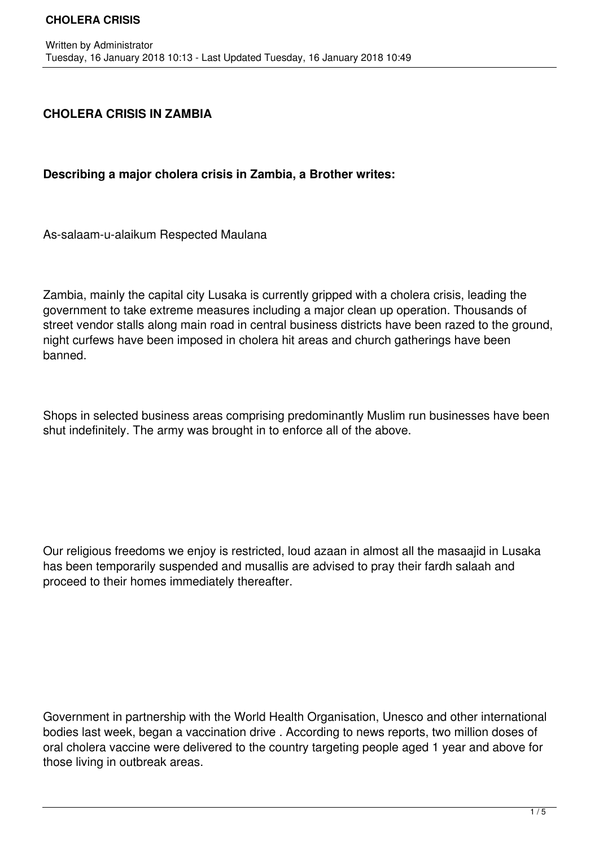## **CHOLERA CRISIS IN ZAMBIA**

## **Describing a major cholera crisis in Zambia, a Brother writes:**

As-salaam-u-alaikum Respected Maulana

Zambia, mainly the capital city Lusaka is currently gripped with a cholera crisis, leading the government to take extreme measures including a major clean up operation. Thousands of street vendor stalls along main road in central business districts have been razed to the ground, night curfews have been imposed in cholera hit areas and church gatherings have been banned.

Shops in selected business areas comprising predominantly Muslim run businesses have been shut indefinitely. The army was brought in to enforce all of the above.

Our religious freedoms we enjoy is restricted, loud azaan in almost all the masaajid in Lusaka has been temporarily suspended and musallis are advised to pray their fardh salaah and proceed to their homes immediately thereafter.

Government in partnership with the World Health Organisation, Unesco and other international bodies last week, began a vaccination drive . According to news reports, two million doses of oral cholera vaccine were delivered to the country targeting people aged 1 year and above for those living in outbreak areas.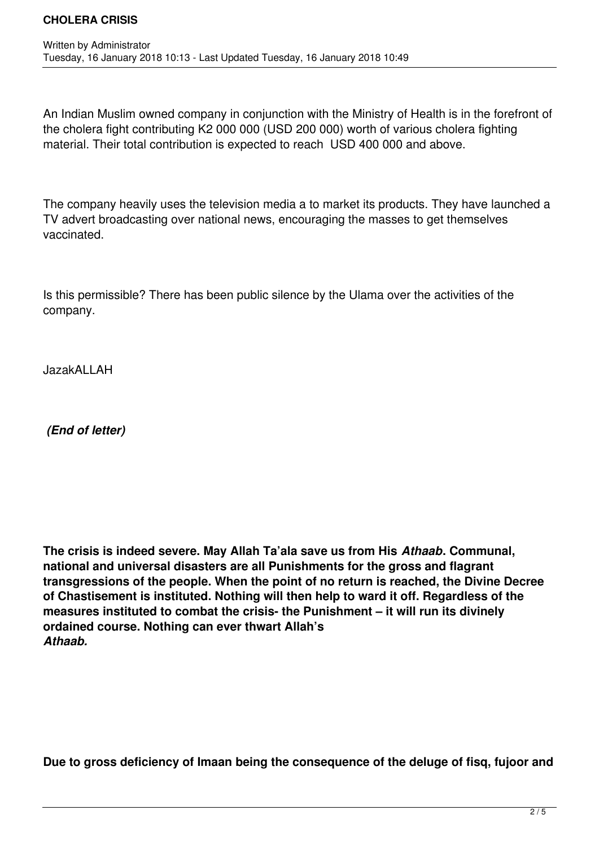An Indian Muslim owned company in conjunction with the Ministry of Health is in the forefront of the cholera fight contributing K2 000 000 (USD 200 000) worth of various cholera fighting material. Their total contribution is expected to reach USD 400 000 and above.

The company heavily uses the television media a to market its products. They have launched a TV advert broadcasting over national news, encouraging the masses to get themselves vaccinated.

Is this permissible? There has been public silence by the Ulama over the activities of the company.

JazakALLAH

 *(End of letter)*

**The crisis is indeed severe. May Allah Ta'ala save us from His** *Athaab***. Communal, national and universal disasters are all Punishments for the gross and flagrant transgressions of the people. When the point of no return is reached, the Divine Decree of Chastisement is instituted. Nothing will then help to ward it off. Regardless of the measures instituted to combat the crisis- the Punishment – it will run its divinely ordained course. Nothing can ever thwart Allah's**  *Athaab.*

**Due to gross deficiency of Imaan being the consequence of the deluge of fisq, fujoor and**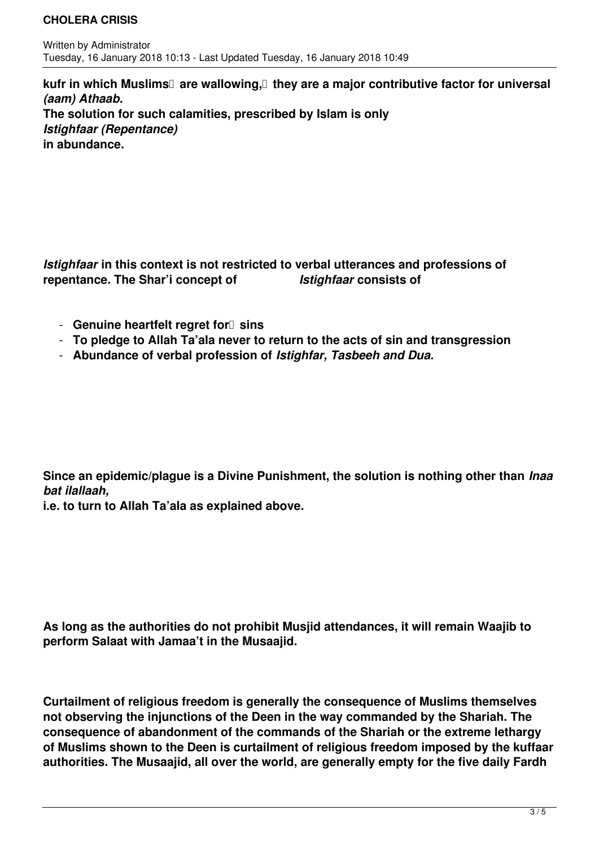## **CHOLERA CRISIS**

kufr in which Muslims<sup>[]</sup> are wallowing,<sup>[]</sup> they are a major contributive factor for universal *(aam) Athaab.*  **The solution for such calamities, prescribed by Islam is only**  *Istighfaar (Repentance)*  **in abundance.**

*Istighfaar* **in this context is not restricted to verbal utterances and professions of repentance. The Shar'i concept of** *Istighfaar* **consists of**

- **Genuine heartfelt regret for** *sins*
- **To pledge to Allah Ta'ala never to return to the acts of sin and transgression**
- **Abundance of verbal profession of** *Istighfar, Tasbeeh and Dua.*

**Since an epidemic/plague is a Divine Punishment, the solution is nothing other than** *Inaa bat ilallaah,* 

**i.e. to turn to Allah Ta'ala as explained above.**

**As long as the authorities do not prohibit Musjid attendances, it will remain Waajib to perform Salaat with Jamaa't in the Musaajid.**

**Curtailment of religious freedom is generally the consequence of Muslims themselves not observing the injunctions of the Deen in the way commanded by the Shariah. The consequence of abandonment of the commands of the Shariah or the extreme lethargy of Muslims shown to the Deen is curtailment of religious freedom imposed by the kuffaar authorities. The Musaajid, all over the world, are generally empty for the five daily Fardh**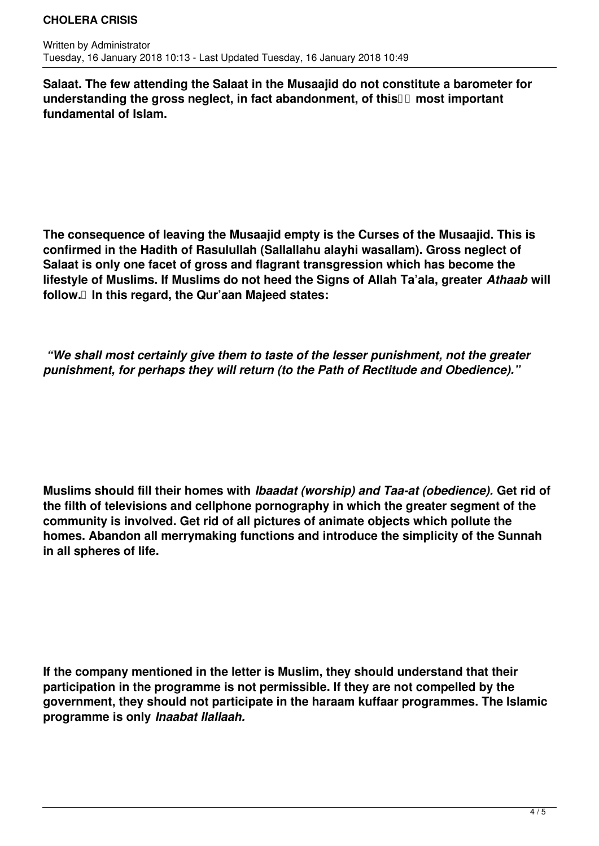**Salaat. The few attending the Salaat in the Musaajid do not constitute a barometer for** understanding the gross neglect, in fact abandonment, of this **II most important fundamental of Islam.** 

**The consequence of leaving the Musaajid empty is the Curses of the Musaajid. This is confirmed in the Hadith of Rasulullah (Sallallahu alayhi wasallam). Gross neglect of Salaat is only one facet of gross and flagrant transgression which has become the lifestyle of Muslims. If Muslims do not heed the Signs of Allah Ta'ala, greater** *Athaab* **will follow. In this regard, the Qur'aan Majeed states:**

 *"We shall most certainly give them to taste of the lesser punishment, not the greater punishment, for perhaps they will return (to the Path of Rectitude and Obedience)."*

**Muslims should fill their homes with** *Ibaadat (worship) and Taa-at (obedience).* **Get rid of the filth of televisions and cellphone pornography in which the greater segment of the community is involved. Get rid of all pictures of animate objects which pollute the homes. Abandon all merrymaking functions and introduce the simplicity of the Sunnah in all spheres of life.**

**If the company mentioned in the letter is Muslim, they should understand that their participation in the programme is not permissible. If they are not compelled by the government, they should not participate in the haraam kuffaar programmes. The Islamic programme is only** *Inaabat Ilallaah.*